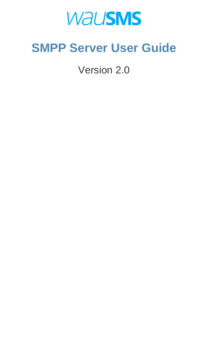# **WAUSMS**

# **SMPP Server User Guide**

Version 2.0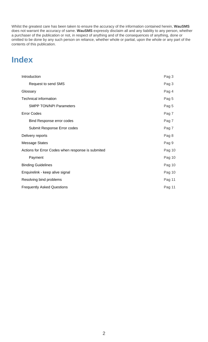| Introduction                                      | Pag 3  |
|---------------------------------------------------|--------|
| Request to send SMS                               | Pag 3  |
| Glossary                                          | Pag 4  |
| Technical information                             | Pag 5  |
| <b>SMPP TON/NPI Parameters</b>                    | Pag 5  |
| <b>Error Codes</b>                                | Pag 7  |
| <b>Bind Response error codes</b>                  | Pag 7  |
| Submit Response Error codes                       | Pag 7  |
| Delivery reports                                  | Pag 8  |
| <b>Message States</b>                             | Pag 9  |
| Actions for Error Codes when response is submited | Pag 10 |
| Payment                                           | Pag 10 |
| <b>Binding Guidelines</b>                         | Pag 10 |
| Enquirelink - keep alive signal                   | Pag 10 |
| Resolving bind problems                           | Pag 11 |
| <b>Frequently Asked Questions</b>                 | Pag 11 |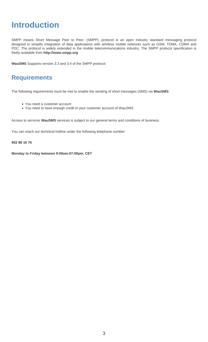### **Introduction**

SMPP means Short Message Peer to Peer, (SMPP), protocol is an open industry standard messaging protocol designed to simplify integration of data applications with wireless mobile networks such as GSM, TDMA, CDMA and PDC. The protocol is widely extended in the mobile telecommunications industry. The SMPP protocol specification is freely available from **http://www.smpp.org**

**WauSMS** Supports version 3.3 and 3.4 of the SMPP protocol.

### **Requirements**

The following requirements must be met to enable the sending of short messages (SMS) via **WauSMS**:

- You need a customer account
- You need to have enough credit in your customer account of WauSMS

Access to services **WauSMS** services is subject to our general terms and conditions of business.

You can reach our technical hotline under the following telephone number:

**902 88 16 76**

**Monday to Friday between 9:00am-07:00pm, CET**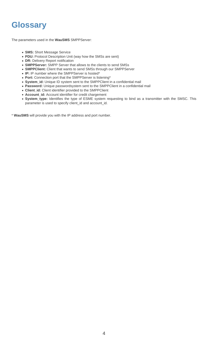### **Glossary**

The parameters used in the **WauSMS** SMPPServer:

- **SMS:** Short Message Service
- **PDU:** Protocol Description Unit (way how the SMSs are sent)
- **DR:** Delivery Report notification
- **SMPPServer:** SMPP Server that allows to the clients to send SMSs
- **SMPPClient:** Client that wants to send SMSs through our SMPPServer
- **IP:** IP number where the SMPPServer is hosted\*
- **Port:** Connection port that the SMPPServer is listening\*
- **System\_id:** Unique ID system sent to the SMPPClient in a confidential mail
- **Password:** Unique passwordsystem sent to the SMPPClient in a confidential mail
- **Client\_id:** Client identifier provided to the SMPPClient
- **Account\_id:** Account identifier for credit chargement
- **System\_type:** Identifies the type of ESME system requesting to bind as a transmitter with the SMSC. This parameter is used to specify client\_id and account\_id.

\* **WauSMS** will provide you with the IP address and port number.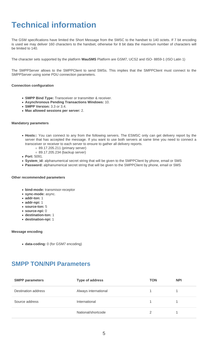# **Technical information**

The GSM specifications have limited the Short Message from the SMSC to the handset to 140 octets. If 7 bit encoding is used we may deliver 160 characters to the handset, otherwise for 8 bit data the maximum number of characters will be limited to 140.

The character sets supported by the platform **WauSMS** Platform are GSM7, UCS2 and ISO- 8859-1 (ISO Latin 1)

The SMPPServer allows to the SMPPClient to send SMSs. This implies that the SMPPClient must connect to the SMPPServer using some PDU connection parameters.

#### **Connection configuration**

- **SMPP Bind Type:** Transceiver or transmitter & receiver.
- **Asynchronous Pending Transactions Windows:** 10.
- **SMPP Version:** 3.3 or 3.4.
- **Max allowed sessions per server:** 2.

#### **Mandatory parameters**

- **Hosts::** You can connect to any from the following servers. The ESMSC only can get delivery report by the server that has accepted the message. If you want to use both servers at same time you need to connect a transceiver or receiver to each server to ensure to gather all delivery reports.
	- 89.17.205.211 (primary server) 89.17.205.234 (backup server)
- **Port:** 5091.
- **System\_id:** alphanumerical secret string that will be given to the SMPPClient by phone, email or SMS
- **Password:** alphanumerical secret string that will be given to the SMPPClient by phone, email or SMS

#### **Other recommended parameters**

- **bind-mode:** transmisor-receptor
- **sync-mode:** async.
- **addr-ton:** 1
- **addr-npi:** 1
- **source-ton:** 5
- **source-npi:** 0
- **destination-ton:** 1
- **destination-npi:** 1

#### **Message encoding**

**data-coding:** 0 (for GSM7 encoding)

### **SMPP TON/NPI Parameters**

| <b>SMPP parameters</b> | Type of address      | <b>TON</b> | <b>NPI</b> |
|------------------------|----------------------|------------|------------|
| Destination address    | Always international |            |            |
| Source address         | International        |            |            |
|                        | National/shortcode   |            |            |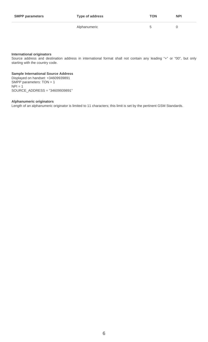| <b>SMPP parameters</b> | <b>Type of address</b> | <b>TON</b> | <b>NPI</b> |
|------------------------|------------------------|------------|------------|
|                        | Alphanumeric           | b          |            |

#### **International originators**

Source address and destination address in international format shall not contain any leading "+" or "00", but only starting with the country code.

#### **Sample International Source Address**

Displayed on handset: +34609939891 SMPP parameters: TON = 1  $NPI = 1$ SOURCE\_ADDRESS = "34609939891"

#### **Alphanumeric originators**

Length of an alphanumeric originator is limited to 11 characters; this limit is set by the pertinent GSM Standards.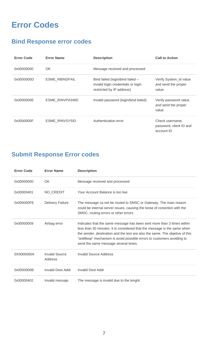## **Error Codes**

### **Bind Response error codes**

| <b>Error Code</b> | <b>Error Name</b>     | <b>Description</b>                                                                                  | <b>Call to Action</b>                                    |
|-------------------|-----------------------|-----------------------------------------------------------------------------------------------------|----------------------------------------------------------|
| 0x00000000        | OK                    | Message received and processed                                                                      |                                                          |
| 0x0000000D        | <b>ESME_RBINDFAIL</b> | Bind failed (login/bind failed -<br>invalid login credentials or login<br>restricted by IP address) | Verify System_id value<br>and send the proper<br>value   |
| 0x0000000E        | <b>ESME RINVPASWD</b> | Invalid password (login/bind failed)                                                                | Verify password value<br>and send the proper<br>value    |
| 0x0000000F        | ESME_RINVSYSID        | Authentication error                                                                                | Check username,<br>password, client ID and<br>account ID |

### **Submit Response Error codes**

| <b>Error Code</b> | <b>Error Name</b>                | <b>Description</b>                                                                                                                                                                                                                                                                                                                                    |
|-------------------|----------------------------------|-------------------------------------------------------------------------------------------------------------------------------------------------------------------------------------------------------------------------------------------------------------------------------------------------------------------------------------------------------|
| 0x00000000        | OK                               | Message received and processed                                                                                                                                                                                                                                                                                                                        |
| 0x00000401        | NO_CREDIT                        | Your Account Balance is too low                                                                                                                                                                                                                                                                                                                       |
| 0x000000FE        | <b>Delivery Failure</b>          | The message ca not be routed to SMSC or Gateway. The main reason<br>could be internal server issues, causing the loose of conection with the<br>SMSC, routing errors or other errors.                                                                                                                                                                 |
| 0x00000009        | Airbag error                     | Indicates that the same message has been sent more than 3 times within<br>less than 30 minutes. It is considered that the message is the same when<br>the sender, destination and the text are also the same. The objetive of this<br>"antifloop" mechanism is avoid possible errors to customers avoiding to<br>send the same message several times. |
| 0X0000000A        | <b>Invalid Source</b><br>Address | Invalid Source Address                                                                                                                                                                                                                                                                                                                                |
| 0x0000000B        | Invalid Dest Addr                | <b>Invalid Dest Addr</b>                                                                                                                                                                                                                                                                                                                              |
| 0x00000402        | Invalid messaje                  | The message is invalid due to the lenght.                                                                                                                                                                                                                                                                                                             |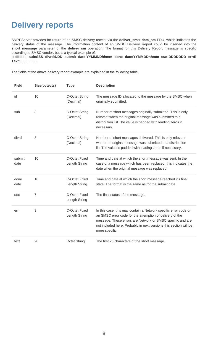### **Delivery reports**

SMPPServer provides for return of an SMSC delivery receipt via the **deliver\_sm**or **data\_sm** PDU, which indicates the delivery status of the message. The information content of an SMSC Delivery Report could be inserted into the **short\_message** parameter of the **deliver\_sm** operation. The format for this Delivery Report message is specific according to SMSC vendor, but is a typical example of:

**id:IIIIIIIIII¡ sub:SSS dlvrd:DDD submit date:YYMMDDhhmm done date:YYMMDDhhmm stat:DDDDDDD err:E Text: . . . . . . . . .**

The fields of the above delivery report example are explained in the following table:

| <b>Field</b>   | Size(octects)  | <b>Type</b>                           | <b>Description</b>                                                                                                                                                                                                                                                               |
|----------------|----------------|---------------------------------------|----------------------------------------------------------------------------------------------------------------------------------------------------------------------------------------------------------------------------------------------------------------------------------|
| id             | 10             | <b>C-Octet String</b><br>(Decimal)    | The message ID allocated to the message by the SMSC when<br>originally submitted.                                                                                                                                                                                                |
| sub            | 3              | <b>C-Octet String</b><br>(Decimal)    | Number of short messages originally submitted. This is only<br>relevant when the original message was submitted to a<br>distribution list. The value is padded with leading zeros if<br>necessary.                                                                               |
| dlvrd          | 3              | C-Octet String<br>(Decimal)           | Number of short messages delivered. This is only relevant<br>where the original message was submitted to a distribution<br>list. The value is padded with leading zeros if necessary.                                                                                            |
| submit<br>date | 10             | <b>C-Octet Fixed</b><br>Length String | Time and date at which the short message was sent. In the<br>case of a message which has been replaced, this indicates the<br>date when the original message was replaced.                                                                                                       |
| done<br>date   | 10             | <b>C-Octet Fixed</b><br>Length String | Time and date at which the short message reached it's final<br>state. The format is the same as for the submit date.                                                                                                                                                             |
| stat           | $\overline{7}$ | <b>C-Octet Fixed</b><br>Length String | The final status of the message.                                                                                                                                                                                                                                                 |
| err            | 3              | <b>C-Octet Fixed</b><br>Length String | In this case, this may contain a Network specific error code or<br>an SMSC error code for the attemption of delivery of the<br>message. These errors are Network or SMSC specific and are<br>not included here. Probably in next versions this section will be<br>more specific. |
| text           | 20             | <b>Octet String</b>                   | The first 20 characters of the short message.                                                                                                                                                                                                                                    |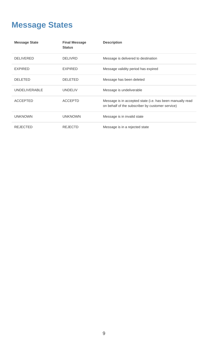# **Message States**

| <b>Message State</b> | <b>Final Message</b><br><b>Status</b> | <b>Description</b>                                                                                            |
|----------------------|---------------------------------------|---------------------------------------------------------------------------------------------------------------|
| <b>DELIVERED</b>     | <b>DELIVRD</b>                        | Message is delivered to destination                                                                           |
| <b>EXPIRED</b>       | <b>EXPIRED</b>                        | Message validity period has expired                                                                           |
| <b>DELETED</b>       | <b>DELETED</b>                        | Message has been deleted                                                                                      |
| <b>UNDELIVERABLE</b> | <b>UNDELIV</b>                        | Message is undeliverable                                                                                      |
| <b>ACCEPTED</b>      | <b>ACCEPTD</b>                        | Message is in accepted state (i.e. has been manually read<br>on behalf of the subscriber by customer service) |
| <b>UNKNOWN</b>       | <b>UNKNOWN</b>                        | Message is in invalid state                                                                                   |
| <b>REJECTED</b>      | <b>REJECTD</b>                        | Message is in a rejected state                                                                                |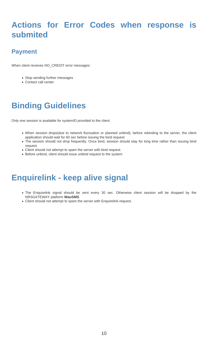## **Actions for Error Codes when response is submited**

### **Payment**

When client receives NO\_CREDIT error messages:

- Stop sending further messages
- Contact call center

# **Binding Guidelines**

Only one session is available for systemID provided to the client.

- When session drops(due to network fluctuation or planned unbind), before rebinding to the server, the client application should wait for 60 sec before issuing the bind request
- The session should not drop frequently. Once bind, session should stay for long time rather than issuing bind request.
- Client should not attempt to spam the server with bind request.
- Before unbind, client should issue unbind request to the system

### **Enquirelink - keep alive signal**

- The Enquirelink signal should be sent every 30 sec. Otherwise client session will be dropped by the NRSGATEWAY platform **WauSMS**.
- Client should not attempt to spam the server with Enquirelink request.